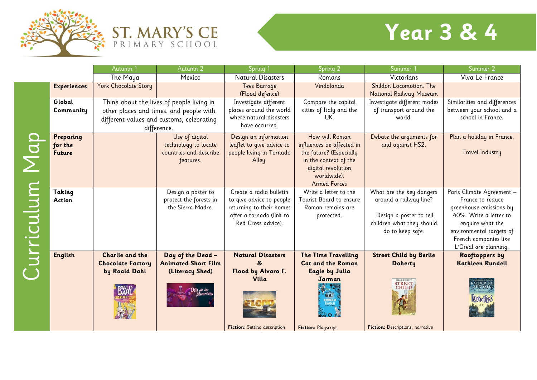





|           |                    | Autumn                   | Autumn 2                                  | Spring <sup>1</sup>                 | Spring 2                   | Summer 1                               | Summer 2                     |
|-----------|--------------------|--------------------------|-------------------------------------------|-------------------------------------|----------------------------|----------------------------------------|------------------------------|
|           |                    | The Maya                 | Mexico                                    | <b>Natural Disasters</b>            | Romans                     | Victorians                             | Viva Le France               |
|           | <b>Experiences</b> | York Chocolate Story     |                                           | Tees Barrage                        | Vindolanda                 | Shildon Locomotion: The                |                              |
|           |                    |                          |                                           | (Flood defence)                     |                            | <b>National Railway Museum</b>         |                              |
|           | Global             |                          | Think about the lives of people living in | Investigate different               | Compare the capital        | Investigate different modes            | Similarities and differences |
|           | Community          |                          | other places and times, and people with   | places around the world             | cities of Italy and the    | of transport around the                | between your school and a    |
|           |                    |                          | different values and customs, celebrating | where natural disasters             | UK.                        | world.                                 | school in France.            |
|           |                    | difference.              |                                           | have occurred.                      |                            |                                        |                              |
|           | Preparing          |                          | Use of digital                            | Design an information               | How will Roman             | Debate the arguments for               | Plan a holiday in France.    |
|           | for the            |                          | technology to locate                      | leaflet to give advice to           | influences be affected in  | and against HS2.                       |                              |
|           | <b>Future</b>      |                          | countries and describe                    | people living in Tornado            | the future? (Especially    |                                        | <b>Travel Industry</b>       |
|           |                    |                          | features.                                 | Alley.                              | in the context of the      |                                        |                              |
|           |                    |                          |                                           |                                     | digital revolution         |                                        |                              |
|           |                    |                          |                                           |                                     | worldwide).                |                                        |                              |
|           |                    |                          |                                           |                                     | <b>Armed Forces</b>        |                                        |                              |
|           | Taking             |                          | Design a poster to                        | Create a radio bulletin             | Write a letter to the      | What are the key dangers               | Paris Climate Agreement -    |
|           | <b>Action</b>      |                          | protect the forests in                    | to give advice to people            | Tourist Board to ensure    | around a railway line?                 | France to reduce             |
|           |                    |                          | the Sierra Madre.                         | returning to their homes            | Roman remains are          |                                        | greenhouse emissions by      |
|           |                    |                          |                                           | after a tornado (link to            | protected.                 | Design a poster to tell                | 40%. Write a letter to       |
|           |                    |                          |                                           | Red Cross advice).                  |                            | children what they should              | enquire what the             |
|           |                    |                          |                                           |                                     |                            | do to keep safe.                       | environmental targets of     |
|           |                    |                          |                                           |                                     |                            |                                        | French companies like        |
| urricului |                    |                          |                                           |                                     |                            |                                        | L'Oreal are planning.        |
|           | <b>English</b>     | Charlie and the          | Day of the Dead -                         | <b>Natural Disasters</b>            | <b>The Time Travelling</b> | <b>Street Child by Berlie</b>          | Rooftoppers by               |
|           |                    | <b>Chocolate Factory</b> | <b>Animated Short Film</b>                | &                                   | <b>Cat and the Roman</b>   | <b>Doherty</b>                         | <b>Kathleen Rundell</b>      |
|           |                    | by Roald Dahl            | (Literacy Shed)                           | Flood by Alvaro F.                  | <b>Eagle by Julia</b>      |                                        |                              |
|           |                    |                          |                                           | <b>Villa</b>                        | Jarman                     | <b>BERLIE DOHERTY</b><br><b>STREET</b> |                              |
|           |                    |                          |                                           |                                     | CAT                        |                                        |                              |
|           |                    |                          |                                           |                                     | ROMAR<br>EAGLE             |                                        | <b>KOOFTOPPERS</b>           |
|           |                    |                          |                                           |                                     |                            |                                        |                              |
|           |                    |                          |                                           |                                     |                            |                                        |                              |
|           |                    |                          |                                           | <b>Fiction:</b> Setting description | <b>Fiction: Playscript</b> | Fiction: Descriptions, narrative       |                              |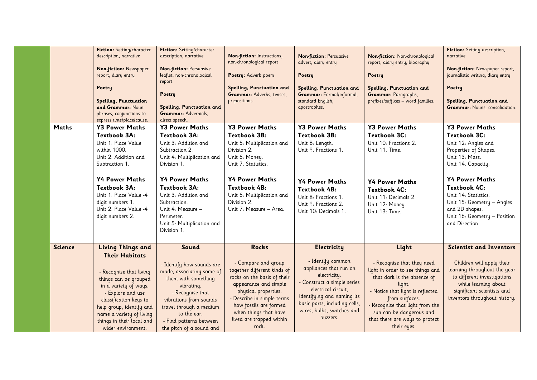|                | Fiction: Setting/character<br>description, narrative<br><b>Non-fiction: Newspaper</b><br>report, diary entry<br>Poetry<br><b>Spelling, Punctuation</b><br>and Grammar: Noun<br>phrases, conjunctions to<br>express time/place/cause.                                                     | Fiction: Setting/character<br>description, narrative<br><b>Non-fiction: Persuasive</b><br>leaflet, non-chronological<br>report<br>Poetry<br>Spelling, Punctuation and<br>Grammar: Adverbials,<br>direct speech.                                                                               | Non-fiction: Instructions,<br>non-chronological report<br>Poetry: Adverb poem<br>Spelling, Punctuation and<br>Grammar: Adverbs, tenses,<br>prepositions.                                                                                                                 | <b>Non-fiction: Persuasive</b><br>advert, diary entry<br>Poetry<br>Spelling, Punctuation and<br><b>Grammar:</b> Formal/informal,<br>standard English,<br>apostrophes.                                                                     | Non-fiction: Non-chronological<br>report, diary entry, biography<br>Poetry<br>Spelling, Punctuation and<br>Grammar: Paragraphs,<br>prefixes/suffixes - word families.                                                                                                                | Fiction: Setting description,<br>narrative<br>Non-fiction: Newspaper report,<br>journalistic writing, diary entry<br>Poetry<br>Spelling, Punctuation and<br>Grammar: Nouns, consolidation.                                                                                                       |
|----------------|------------------------------------------------------------------------------------------------------------------------------------------------------------------------------------------------------------------------------------------------------------------------------------------|-----------------------------------------------------------------------------------------------------------------------------------------------------------------------------------------------------------------------------------------------------------------------------------------------|--------------------------------------------------------------------------------------------------------------------------------------------------------------------------------------------------------------------------------------------------------------------------|-------------------------------------------------------------------------------------------------------------------------------------------------------------------------------------------------------------------------------------------|--------------------------------------------------------------------------------------------------------------------------------------------------------------------------------------------------------------------------------------------------------------------------------------|--------------------------------------------------------------------------------------------------------------------------------------------------------------------------------------------------------------------------------------------------------------------------------------------------|
| <b>Maths</b>   | <b>Y3 Power Maths</b><br>Textbook 3A:<br>Unit 1: Place Value<br>within 1000.<br>Unit 2: Addition and<br>Subtraction 1.<br><b>Y4 Power Maths</b><br>Textbook 3A:<br>Unit 1: Place Value -4<br>digit numbers 1.<br>Unit 2: Place Value -4<br>digit numbers 2.                              | <b>Y3 Power Maths</b><br>Textbook 3A:<br>Unit 3: Addition and<br>Subtraction 2.<br>Unit 4: Multiplication and<br>Division 1.<br><b>Y4 Power Maths</b><br>Textbook 3A:<br>Unit 3: Addition and<br>Subtraction.<br>Unit 4: Measure -<br>Perimeter.<br>Unit 5: Multiplication and<br>Division 1. | <b>Y3 Power Maths</b><br>Textbook 3B:<br>Unit 5: Multiplication and<br>Division 2.<br>Unit 6: Money.<br>Unit 7: Statistics.<br><b>Y4 Power Maths</b><br>Textbook 4B:<br>Unit 6: Multiplication and<br>Division 2.<br>Unit 7: Measure - Area.                             | <b>Y3 Power Maths</b><br>Textbook 3B:<br>Unit 8: Length.<br>Unit 9: Fractions 1.<br><b>Y4 Power Maths</b><br><b>Textbook 4B:</b><br>Unit 8: Fractions 1.<br>Unit 9: Fractions 2.<br>Unit 10: Decimals 1.                                  | <b>Y3 Power Maths</b><br>Textbook 3C:<br>Unit 10: Fractions 2.<br>Unit 11: Time.<br><b>Y4 Power Maths</b><br><b>Textbook 4C:</b><br>Unit 11: Decimals 2.<br>Unit 12: Money.<br>Unit 13: Time.                                                                                        | <b>Y3 Power Maths</b><br>Textbook 3C:<br>Unit 12: Angles and<br>Properties of Shapes.<br>Unit 13: Mass.<br>Unit 14: Capacity.<br><b>Y4 Power Maths</b><br>Textbook 4C:<br>Unit 14: Statistics.<br>Unit 15: Geometry - Angles<br>and 2D shapes.<br>Unit 16: Geometry - Position<br>and Direction. |
| <b>Science</b> | <b>Living Things and</b><br><b>Their Habitats</b><br>- Recognise that living<br>things can be grouped<br>in a variety of ways.<br>- Explore and use<br>classification keys to<br>help group, identify and<br>name a variety of living<br>things in their local and<br>wider environment. | Sound<br>- Identify how sounds are<br>made, associating some of<br>them with something<br>vibrating.<br>- Recognise that<br>vibrations from sounds<br>travel through a medium<br>to the ear.<br>- Find patterns between<br>the pitch of a sound and                                           | <b>Rocks</b><br>- Compare and group<br>together different kinds of<br>rocks on the basis of their<br>appearance and simple<br>physical properties.<br>- Describe in simple terms<br>how fossils are formed<br>when things that have<br>lived are trapped within<br>rock. | Electricity<br>- Identify common<br>appliances that run on<br>electricity.<br>- Construct a simple series<br>electrical circuit,<br>identifying and naming its<br>basic parts, including cells,<br>wires, bulbs, switches and<br>buzzers. | Light<br>- Recognise that they need<br>light in order to see things and<br>that dark is the absence of<br>light.<br>- Notice that light is reflected<br>from surfaces.<br>Recognise that light from the<br>sun can be dangerous and<br>that there are ways to protect<br>their eyes. | <b>Scientist and Inventors</b><br>Children will apply their<br>learning throughout the year<br>to different investigations<br>while learning about<br>significant scientists and<br>inventors throughout history.                                                                                |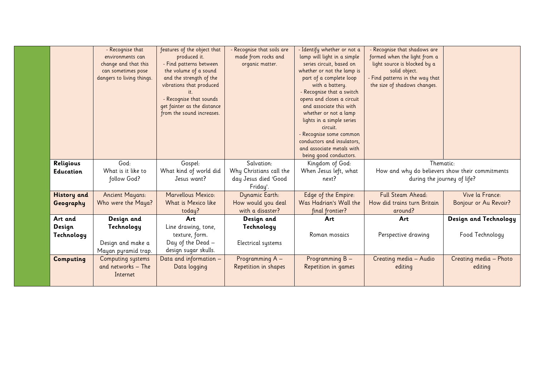|                    | - Recognise that          | features of the object that | - Recognise that soils are | - Identify whether or not a | - Recognise that shadows are                    |                        |
|--------------------|---------------------------|-----------------------------|----------------------------|-----------------------------|-------------------------------------------------|------------------------|
|                    | environments can          | produced it.                | made from rocks and        | lamp will light in a simple | formed when the light from a                    |                        |
|                    | change and that this      | - Find patterns between     | organic matter.            | series circuit, based on    | light source is blocked by a                    |                        |
|                    | can sometimes pose        | the volume of a sound       |                            | whether or not the lamp is  | solid object.                                   |                        |
|                    | dangers to living things. | and the strength of the     |                            | part of a complete loop     | Find patterns in the way that                   |                        |
|                    |                           | vibrations that produced    |                            | with a battery.             | the size of shadows changes.                    |                        |
|                    |                           |                             |                            | - Recognise that a switch   |                                                 |                        |
|                    |                           | - Recognise that sounds     |                            | opens and closes a circuit  |                                                 |                        |
|                    |                           | get fainter as the distance |                            | and associate this with     |                                                 |                        |
|                    |                           | from the sound increases.   |                            | whether or not a lamp       |                                                 |                        |
|                    |                           |                             |                            | lights in a simple series   |                                                 |                        |
|                    |                           |                             |                            | circuit.                    |                                                 |                        |
|                    |                           |                             |                            | - Recognise some common     |                                                 |                        |
|                    |                           |                             |                            | conductors and insulators,  |                                                 |                        |
|                    |                           |                             |                            | and associate metals with   |                                                 |                        |
|                    |                           |                             |                            | being good conductors.      |                                                 |                        |
| Religious          | God:                      | Gospel:                     | Salvation:                 | Kingdom of God:             | Thematic:                                       |                        |
| <b>Education</b>   | What is it like to        | What kind of world did      | Why Christians call the    | When Jesus left, what       | How and why do believers show their commitments |                        |
|                    | follow God?               | Jesus want?                 | day Jesus died 'Good       | next?                       | during the journey of life?                     |                        |
|                    |                           |                             | Friday'.                   |                             |                                                 |                        |
| <b>History</b> and | <b>Ancient Mayans:</b>    | Marvellous Mexico:          | Dynamic Earth:             | Edge of the Empire:         | <b>Full Steam Ahead:</b>                        | Vive la France:        |
| Geography          | Who were the Maya?        | What is Mexico like         | How would you deal         | Was Hadrian's Wall the      | How did trains turn Britain                     | Bonjour or Au Revoir?  |
|                    |                           | today?                      | with a disaster?           | final frontier?             | around?                                         |                        |
| Art and            | Design and                | Art                         | Design and                 | Art                         | Art                                             | Design and Technology  |
| Design             | Technology                | Line drawing, tone,         | Technology                 |                             |                                                 |                        |
| Technology         |                           | texture, form.              |                            | Roman mosaics               | Perspective drawing                             | Food Technology        |
|                    | Design and make a         | Day of the Dead —           | Electrical systems         |                             |                                                 |                        |
|                    | Mayan pyramid trap.       | design sugar skulls.        |                            |                             |                                                 |                        |
| Computing          | Computing systems         | Data and information -      | Programming A -            | Programming B -             | Creating media - Audio                          | Creating media - Photo |
|                    | and networks - The        | Data logging                | Repetition in shapes       | Repetition in games         | editing                                         | editing                |
|                    | Internet                  |                             |                            |                             |                                                 |                        |
|                    |                           |                             |                            |                             |                                                 |                        |
|                    |                           |                             |                            |                             |                                                 |                        |